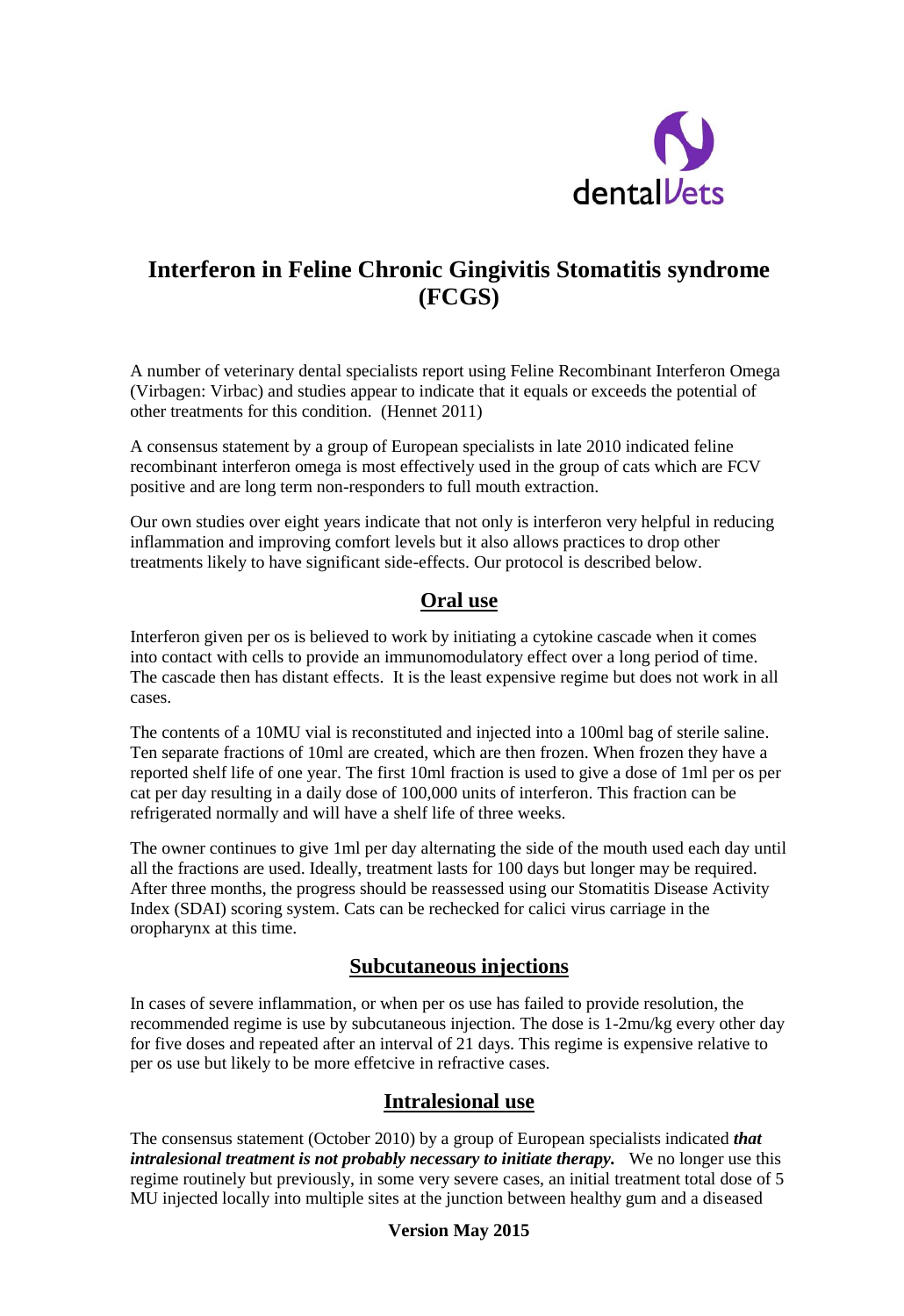

# **Interferon in Feline Chronic Gingivitis Stomatitis syndrome (FCGS)**

A number of veterinary dental specialists report using Feline Recombinant Interferon Omega (Virbagen: Virbac) and studies appear to indicate that it equals or exceeds the potential of other treatments for this condition. (Hennet 2011)

A consensus statement by a group of European specialists in late 2010 indicated feline recombinant interferon omega is most effectively used in the group of cats which are FCV positive and are long term non-responders to full mouth extraction.

Our own studies over eight years indicate that not only is interferon very helpful in reducing inflammation and improving comfort levels but it also allows practices to drop other treatments likely to have significant side-effects. Our protocol is described below.

## **Oral use**

Interferon given per os is believed to work by initiating a cytokine cascade when it comes into contact with cells to provide an immunomodulatory effect over a long period of time. The cascade then has distant effects. It is the least expensive regime but does not work in all cases.

The contents of a 10MU vial is reconstituted and injected into a 100ml bag of sterile saline. Ten separate fractions of 10ml are created, which are then frozen. When frozen they have a reported shelf life of one year. The first 10ml fraction is used to give a dose of 1ml per os per cat per day resulting in a daily dose of 100,000 units of interferon. This fraction can be refrigerated normally and will have a shelf life of three weeks.

The owner continues to give 1ml per day alternating the side of the mouth used each day until all the fractions are used. Ideally, treatment lasts for 100 days but longer may be required. After three months, the progress should be reassessed using our Stomatitis Disease Activity Index (SDAI) scoring system. Cats can be rechecked for calici virus carriage in the oropharynx at this time.

## **Subcutaneous injections**

In cases of severe inflammation, or when per os use has failed to provide resolution, the recommended regime is use by subcutaneous injection. The dose is 1-2mu/kg every other day for five doses and repeated after an interval of 21 days. This regime is expensive relative to per os use but likely to be more effetcive in refractive cases.

## **Intralesional use**

The consensus statement (October 2010) by a group of European specialists indicated *that intralesional treatment is not probably necessary to initiate therapy.* We no longer use this regime routinely but previously, in some very severe cases, an initial treatment total dose of 5 MU injected locally into multiple sites at the junction between healthy gum and a diseased

#### **Version May 2015**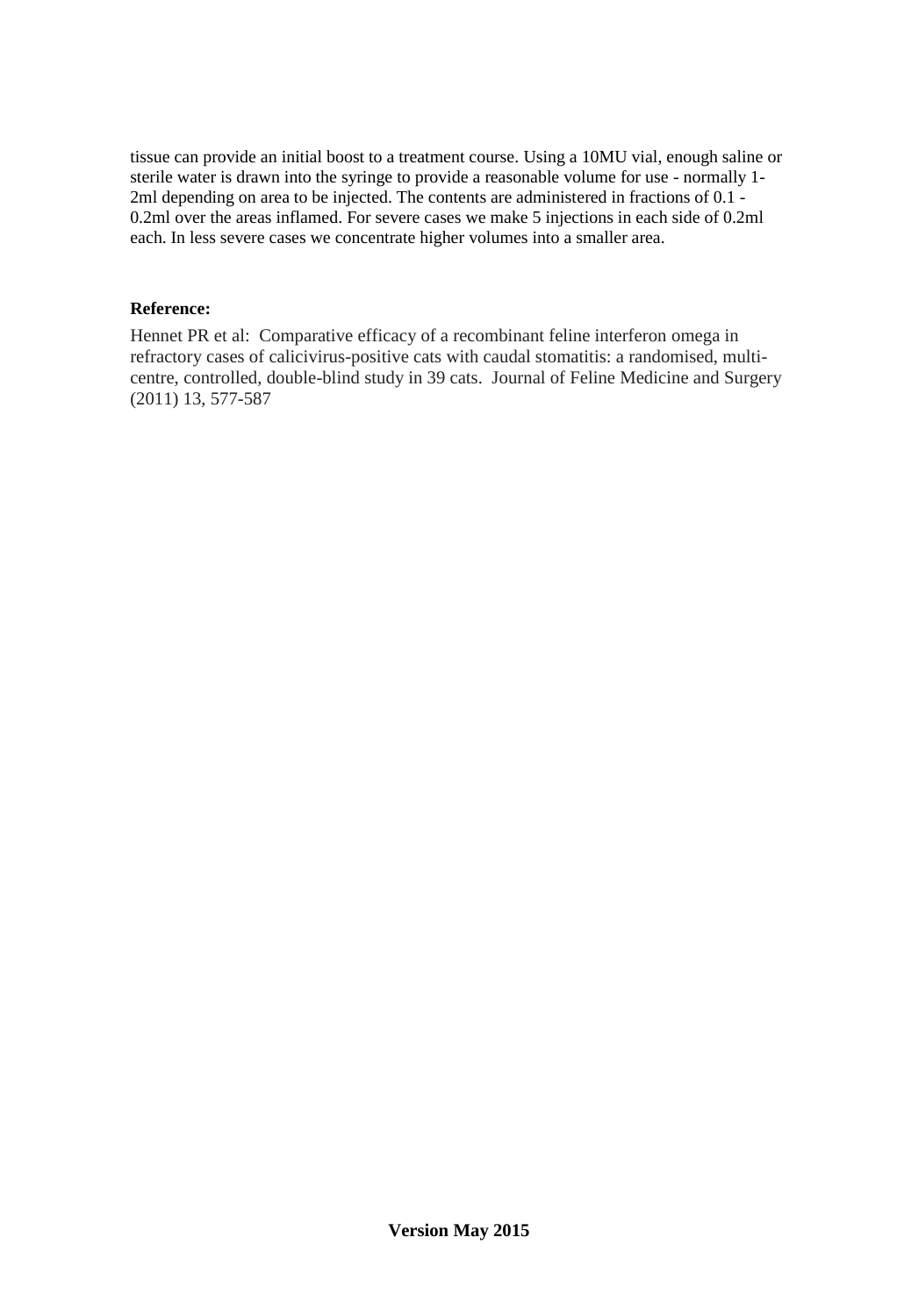tissue can provide an initial boost to a treatment course. Using a 10MU vial, enough saline or sterile water is drawn into the syringe to provide a reasonable volume for use - normally 1- 2ml depending on area to be injected. The contents are administered in fractions of 0.1 - 0.2ml over the areas inflamed. For severe cases we make 5 injections in each side of 0.2ml each. In less severe cases we concentrate higher volumes into a smaller area.

#### **Reference:**

Hennet PR et al: Comparative efficacy of a recombinant feline interferon omega in refractory cases of calicivirus-positive cats with caudal stomatitis: a randomised, multicentre, controlled, double-blind study in 39 cats. Journal of Feline Medicine and Surgery (2011) 13, 577-587